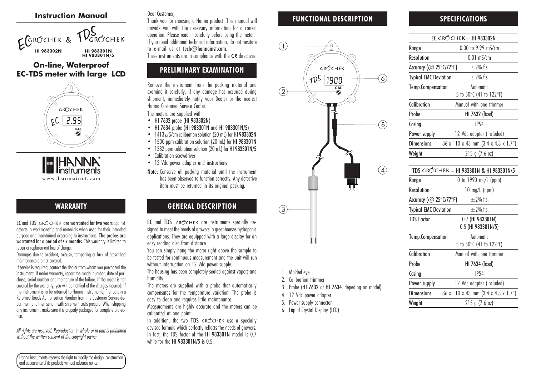#### Instruction Manual



#### On-line, Waterproof EC-TDS meter with large LCD



www.hannainst.com

## WARRANTY

EC and TDS GROCHEK are warranted for two vears against defects in workmanship and materials when used for their intended purpose and maintained according to instructions. The probes are warranted for a period of six months. This warranty is limited to repair or replacement free of charge.

Damages due to accident, misuse, tampering or lack of prescribed maintenance are not covered.

If service is required, contact the dealer from whom you purchased the instrument. If under warranty, report the model number, date of purchase, serial number and the nature of the failure. If the repair is not covered by the warranty, you will be notified of the charges incurred. If the instrument is to be returned to Hanna Instruments, first obtain a Returned Goods Authorization Number from the Customer Service department and then send it with shipment costs prepaid. When shipping any instrument, make sure it is properly packaged for complete protection.

All rights are reserved. Reproduction in whole or in part is prohibited without the written consent of the copyright owner.

Hanna Instruments reserves the right to modify the design, construction and appearance of its products without advance notice.

#### Dear Customer,

Thank you for choosing a Hanna product. This manual will provide you with the necessary information for a correct operation. Please read it carefully before using the meter. If you need additional technical information, do not hesitate to e-mail us at tech@hannainst.com. These instruments are in compliance with the  $C \in$  directives.

# PRELIMINARY EXAMINATION

Remove the instrument from the packing material and examine it carefully. If any damage has occurred during shipment, immediately notify your Dealer or the nearest Hanna Customer Service Center.

The meters are supplied with:

- HI 7632 probe (HI 983302N)
- HI 7634 probe (HI 983301N and HI 983301N/5)
- $\,$  1413  $\mu$ S/cm calibration solution (20 mL) for **HI 983302N**
- 1500 ppm calibration solution (20 mL) for HI 983301N
- 1382 ppm calibration solution (20 mL) for HI 983301N/5
- Calibration screwdriver
- 12 Vdc power adapter and instructions
- Note: Conserve all packing material until the instrument has been observed to function correctly. Any defective item must be returned in its original packing.

## GENERAL DESCRIPTION

EC and TDS GROCHEK are instruments specially designed to meet the needs of growers in greenhouses hydroponic applications. They are equipped with a large display for an easy reading also from distance.

You can simply hang the meter right above the sample to be tested for continuous measurement and the unit will run without interruption on 12 Vdc power supply.

The housing has been completely sealed against vapors and humidity.

The meters are supplied with a probe that automatically compensates for the temperature variation. The probe is easy to clean and requires little maintenance.

Measurements are highly accurate and the meters can be calibrated at one point.

In addition, the two TDS  $GRC$ CHEK use a specially devised formula which perfectly reflects the needs of growers. In fact, the TDS factor of the HI 983301N model is 0.7 while for the HI 983301N/5 is 0.5.

#### FUNCTIONAL DESCRIPTION



- 1. Molded eye
- 2. Calibration trimmer
- 3. Probe (HI 7632 or HI 7634, depeding on model)
- 4. 12 Vdc power adapter
- 5. Power supply connector
- 6. Liquid Crystal Display (LCD)

## SPECIFICATIONS

|                                             | <b>EC GRŐ'CHEK – HI 983302N</b>         |
|---------------------------------------------|-----------------------------------------|
| Range                                       | 0.00 to 9.99 mS/cm                      |
| <b>Resolution</b>                           | $0.01$ mS/cm                            |
| Accuracy ( $@$ 25 $°C$ /77 $\textdegree$ F) | $\pm$ 2% f.s.                           |
| <b>Typical EMC Deviation</b>                | $+2%$ fs                                |
| <b>Temp.Compensation</b>                    | Automatic                               |
|                                             | 5 to 50°C (41 to 122°F)                 |
| Calibration                                 | Manual with one trimmer                 |
| Probe                                       | HI 7632 (fixed)                         |
| Casing                                      | <b>IP54</b>                             |
| Power supply                                | 12 Vdc adapter (included)               |
| <b>Dimensions</b>                           | 86 x 110 x 43 mm (3.4 x 4.3 x 1.7")     |
| Weight                                      | 215 g (7.6 oz)                          |
|                                             |                                         |
|                                             | TDS GROCHEK - HI 983301N & HI 983301N/5 |
| Range                                       | 0 to 1990 mg/L (ppm)                    |
| <b>Resolution</b>                           | $10 \text{ mg/L (ppm)}$                 |
| Accuracy (@ 25°C/77°F)                      | $+2%$ fs                                |
| <b>Typical EMC Deviation</b>                | $\pm$ 2% f.s.                           |
| <b>TDS Factor</b>                           | 0.7 (HI 983301N)                        |
|                                             | 0.5 (HI 983301N/5)                      |
| <b>Temp.Compensation</b>                    | Automotic                               |
|                                             | 5 to 50°C (41 to 122°F)                 |
| Calibration                                 | Manual with one trimmer                 |
| Probe                                       | HI 7634 (fixed)                         |
| Casing                                      | <b>IP54</b>                             |
| Power supply                                | 12 Vdc adapter (included)               |
| <b>Dimensions</b>                           | 86 x 110 x 43 mm (3.4 x 4.3 x 1.7")     |
| Weight                                      | 215 g (7.6 oz)                          |
|                                             |                                         |